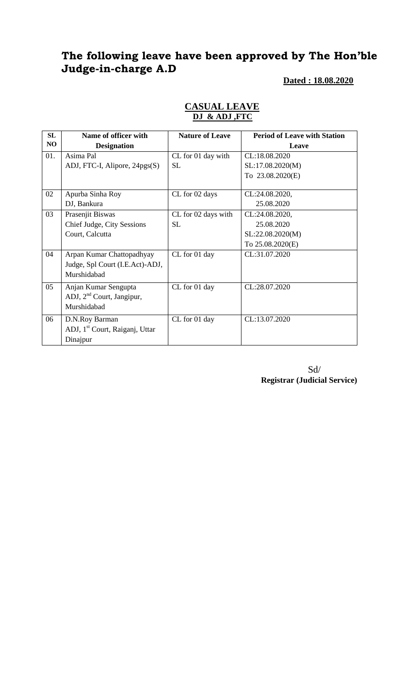# **The following leave have been approved by The Hon'ble Judge-in-charge A.D**

### **Dated : 18.08.2020**

| SL  | Name of officer with                       | <b>Nature of Leave</b> | <b>Period of Leave with Station</b> |
|-----|--------------------------------------------|------------------------|-------------------------------------|
| NO  | <b>Designation</b>                         |                        | Leave                               |
| 01. | Asima Pal                                  | CL for 01 day with     | CL:18.08.2020                       |
|     | ADJ, FTC-I, Alipore, 24pgs(S)              | <b>SL</b>              | SL:17.08.2020(M)                    |
|     |                                            |                        | To 23.08.2020(E)                    |
| 02  | Apurba Sinha Roy                           | CL for 02 days         | CL:24.08.2020,                      |
|     | DJ, Bankura                                |                        | 25.08.2020                          |
| 03  | Prasenjit Biswas                           | CL for 02 days with    | CL:24.08.2020,                      |
|     | Chief Judge, City Sessions                 | <b>SL</b>              | 25.08.2020                          |
|     | Court, Calcutta                            |                        | SL:22.08.2020(M)                    |
|     |                                            |                        | To 25.08.2020(E)                    |
| 04  | Arpan Kumar Chattopadhyay                  | CL for 01 day          | CL:31.07.2020                       |
|     | Judge, Spl Court (I.E.Act)-ADJ,            |                        |                                     |
|     | Murshidabad                                |                        |                                     |
| 05  | Anjan Kumar Sengupta                       | CL for 01 day          | CL:28.07.2020                       |
|     | ADJ, 2 <sup>nd</sup> Court, Jangipur,      |                        |                                     |
|     | Murshidabad                                |                        |                                     |
| 06  | D.N.Roy Barman                             | CL for 01 day          | CL:13.07.2020                       |
|     | ADJ, 1 <sup>st</sup> Court, Raiganj, Uttar |                        |                                     |
|     | Dinajpur                                   |                        |                                     |

#### **CASUAL LEAVE DJ & ADJ ,FTC**

Sd/ **Registrar (Judicial Service)**